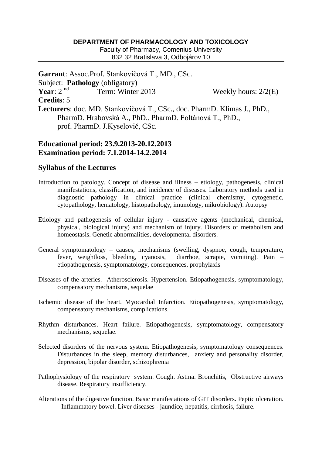## **DEPARTMENT OF PHARMACOLOGY AND TOXICOLOGY**

Faculty of Pharmacy, Comenius University 832 32 Bratislava 3, Odbojárov 10

**Garrant**: Assoc.Prof. Stankovičová T., MD., CSc. Subject: **Pathology** (obligatory) **Year**: 2 nd Term: Winter 2013 Weekly hours:  $2/2(E)$ **Credits**: 5 **Lecturers**: doc. MD. Stankovičová T., CSc., doc. PharmD. Klimas J., PhD., PharmD. Hrabovská A., PhD., PharmD. Foltánová T., PhD., prof. PharmD. J.Kyselovič, CSc.

## **Educational period: 23.9.2013-20.12.2013 Examination period: 7.1.2014-14.2.2014**

## **Syllabus of the Lectures**

- Introduction to patology. Concept of disease and illness etiology, pathogenesis, clinical manifestations, classification, and incidence of diseases. Laboratory methods used in diagnostic pathology in clinical practice (clinical chemismy, cytogenetic, cytopathology, hematology, histopathology, imunology, mikrobiology). Autopsy
- Etiology and pathogenesis of cellular injury causative agents (mechanical, chemical, physical, biological injury) and mechanism of injury. Disorders of metabolism and homeostasis. Genetic abnormalities, developmental disorders.
- General symptomatology causes, mechanisms (swelling, dyspnoe, cough, temperature, fever, weightloss, bleeding, cyanosis, diarrhoe, scrapie, vomiting). Pain – etiopathogenesis, symptomatology, consequences, prophylaxis
- Diseases of the arteries. Atherosclerosis. Hypertension. Etiopathogenesis, symptomatology, compensatory mechanisms, sequelae
- Ischemic disease of the heart. Myocardial Infarction. Etiopathogenesis, symptomatology, compensatory mechanisms, complications.
- Rhythm disturbances. Heart failure. Etiopathogenesis, symptomatology, compensatory mechanisms, sequelae.
- Selected disorders of the nervous system. Etiopathogenesis, symptomatology consequences. Disturbances in the sleep, memory disturbances, anxiety and personality disorder, depression, bipolar disorder, schizophrenia
- Pathophysiology of the respiratory system. Cough. Astma. Bronchitis, Obstructive airways disease. Respiratory insufficiency.
- Alterations of the digestive function. Basic manifestations of GIT disorders. Peptic ulceration. Inflammatory bowel. Liver diseases - jaundice, hepatitis, cirrhosis, failure.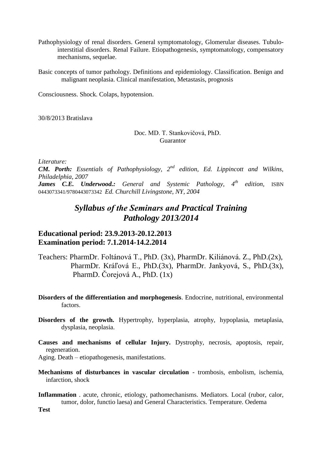- Pathophysiology of renal disorders. General symptomatology, Glomerular diseases. Tubulointerstitial disorders. Renal Failure. Etiopathogenesis, symptomatology, compensatory mechanisms, sequelae.
- Basic concepts of tumor pathology. Definitions and epidemiology. Classification. Benign and malignant neoplasia. Clinical manifestation, Metastasis, prognosis

Consciousness. Shock. Colaps, hypotension.

30/8/2013 Bratislava

## Doc. MD. T. Stankovičová, PhD. Guarantor

*Literature:*

*CM. Porth: Essentials of Pathophysiology, 2 nd edition, Ed. Lippincott and Wilkins, Philadelphia, 2007 James C.E. Underwood.: General and Systemic Pathology, 4th edition,* ISBN

0443073341/9780443073342 *Ed. Churchill Livingstone, NY, 2004*

# *Syllabus of the Seminars and Practical Training Pathology 2013/2014*

# **Educational period: 23.9.2013-20.12.2013 Examination period: 7.1.2014-14.2.2014**

- Teachers: PharmDr. Foltánová T., PhD. (3x), PharmDr. Kiliánová. Z., PhD.(2x), PharmDr. Kráľová E., PhD.(3x), PharmDr. Jankyová, S., PhD.(3x), PharmD. Čorejová A., PhD. (1x)
- **Disorders of the differentiation and morphogenesis**. Endocrine, nutritional, environmental factors.
- **Disorders of the growth.** Hypertrophy, hyperplasia, atrophy, hypoplasia, metaplasia, dysplasia, neoplasia.
- **Causes and mechanisms of cellular Injury.** Dystrophy, necrosis, apoptosis, repair, regeneration.

Aging. Death – etiopathogenesis, manifestations.

- **Mechanisms of disturbances in vascular circulation** trombosis, embolism, ischemia, infarction, shock
- **Inflammation** . acute, chronic, etiology, pathomechanisms. Mediators. Local (rubor, calor, tumor, dolor, functio laesa) and General Characteristics. Temperature. Oedema

**Test**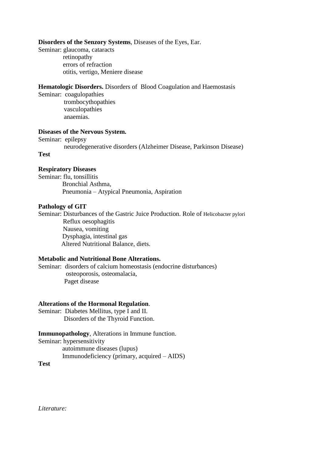#### **Disorders of the Senzory Systems**, Diseases of the Eyes, Ear.

Seminar: glaucoma, cataracts retinopathy errors of refraction otitis, vertigo, Meniere disease

## **Hematologic Disorders.** Disorders of Blood Coagulation and Haemostasis

Seminar: coagulopathies trombocythopathies vasculopathies anaemias.

#### **Diseases of the Nervous System.**

Seminar: epilepsy

neurodegenerative disorders (Alzheimer Disease, Parkinson Disease)

#### **Test**

### **Respiratory Diseases**

Seminar: flu, tonsillitis Bronchial Asthma, Pneumonia – Atypical Pneumonia, Aspiration

#### **Pathology of GIT**

Seminar: Disturbances of the Gastric Juice Production. Role of Helicobacter pylori Reflux oesophagitis Nausea, vomiting Dysphagia, intestinal gas Altered Nutritional Balance, diets.

## **Metabolic and Nutritional Bone Alterations.**

Seminar: disorders of calcium homeostasis (endocrine disturbances) osteoporosis, osteomalacia, Paget disease

#### **Alterations of the Hormonal Regulation**.

Seminar: Diabetes Mellitus, type I and II. Disorders of the Thyroid Function.

#### **Immunopathology**, Alterations in Immune function.

Seminar: hypersensitivity

 autoimmune diseases (lupus) Immunodeficiency (primary, acquired – AIDS)

**Test**

*Literature:*